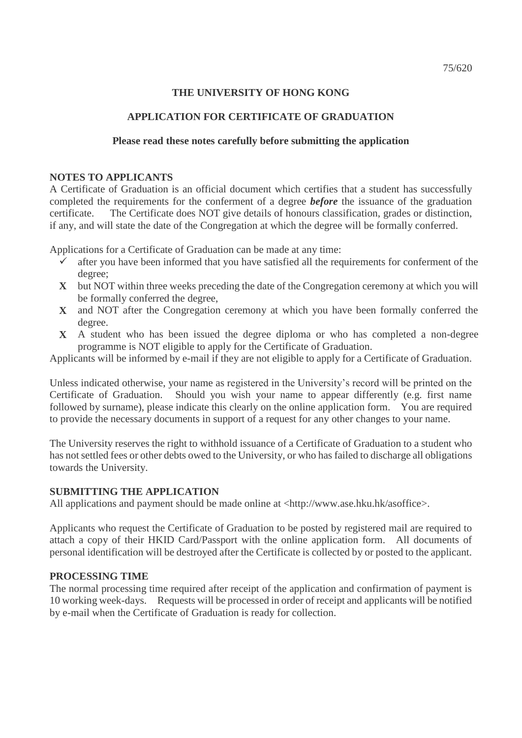# **THE UNIVERSITY OF HONG KONG**

## **APPLICATION FOR CERTIFICATE OF GRADUATION**

### **Please read these notes carefully before submitting the application**

#### **NOTES TO APPLICANTS**

A Certificate of Graduation is an official document which certifies that a student has successfully completed the requirements for the conferment of a degree *before* the issuance of the graduation certificate. The Certificate does NOT give details of honours classification, grades or distinction, if any, and will state the date of the Congregation at which the degree will be formally conferred.

Applications for a Certificate of Graduation can be made at any time:

- $\checkmark$  after you have been informed that you have satisfied all the requirements for conferment of the degree;
- **X** but NOT within three weeks preceding the date of the Congregation ceremony at which you will be formally conferred the degree,
- **X** and NOT after the Congregation ceremony at which you have been formally conferred the degree.
- **X** A student who has been issued the degree diploma or who has completed a non-degree programme is NOT eligible to apply for the Certificate of Graduation.

Applicants will be informed by e-mail if they are not eligible to apply for a Certificate of Graduation.

Unless indicated otherwise, your name as registered in the University's record will be printed on the Certificate of Graduation. Should you wish your name to appear differently (e.g. first name followed by surname), please indicate this clearly on the online application form. You are required to provide the necessary documents in support of a request for any other changes to your name.

The University reserves the right to withhold issuance of a Certificate of Graduation to a student who has not settled fees or other debts owed to the University, or who has failed to discharge all obligations towards the University.

### **SUBMITTING THE APPLICATION**

All applications and payment should be made online at <http://www.ase.hku.hk/asoffice>.

Applicants who request the Certificate of Graduation to be posted by registered mail are required to attach a copy of their HKID Card/Passport with the online application form. All documents of personal identification will be destroyed after the Certificate is collected by or posted to the applicant.

### **PROCESSING TIME**

The normal processing time required after receipt of the application and confirmation of payment is 10 working week-days. Requests will be processed in order of receipt and applicants will be notified by e-mail when the Certificate of Graduation is ready for collection.